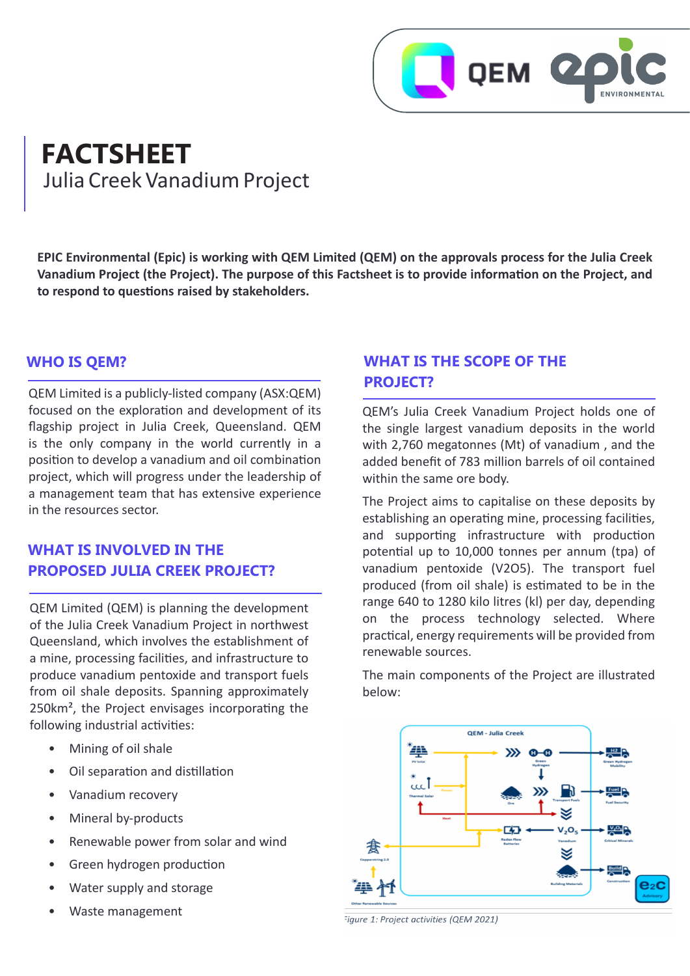

# **FACTSHEET** Julia Creek Vanadium Project

**EPIC Environmental (Epic) is working with QEM Limited (QEM) on the approvals process for the Julia Creek Vanadium Project (the Project). The purpose of this Factsheet is to provide information on the Project, and to respond to questions raised by stakeholders.**

### **WHO IS QEM?**

QEM Limited is a publicly-listed company (ASX:QEM) focused on the exploration and development of its flagship project in Julia Creek, Queensland. QEM is the only company in the world currently in a position to develop a vanadium and oil combination project, which will progress under the leadership of a management team that has extensive experience in the resources sector.

### **WHAT IS INVOLVED IN THE PROPOSED JULIA CREEK PROJECT?**

QEM Limited (QEM) is planning the development of the Julia Creek Vanadium Project in northwest Queensland, which involves the establishment of a mine, processing facilities, and infrastructure to produce vanadium pentoxide and transport fuels from oil shale deposits. Spanning approximately 250km², the Project envisages incorporating the following industrial activities:

- Mining of oil shale
- Oil separation and distillation
- Vanadium recovery
- Mineral by-products
- Renewable power from solar and wind
- Green hydrogen production
- Water supply and storage
- Waste management

### **WHAT IS THE SCOPE OF THE PROJECT?**

QEM's Julia Creek Vanadium Project holds one of the single largest vanadium deposits in the world with 2,760 megatonnes (Mt) of vanadium , and the added benefit of 783 million barrels of oil contained within the same ore body.

The Project aims to capitalise on these deposits by establishing an operating mine, processing facilities, and supporting infrastructure with production potential up to 10,000 tonnes per annum (tpa) of vanadium pentoxide (V2O5). The transport fuel produced (from oil shale) is estimated to be in the range 640 to 1280 kilo litres (kl) per day, depending on the process technology selected. Where practical, energy requirements will be provided from renewable sources.

The main components of the Project are illustrated below:



Figure 1: Project activities (QEM 2021)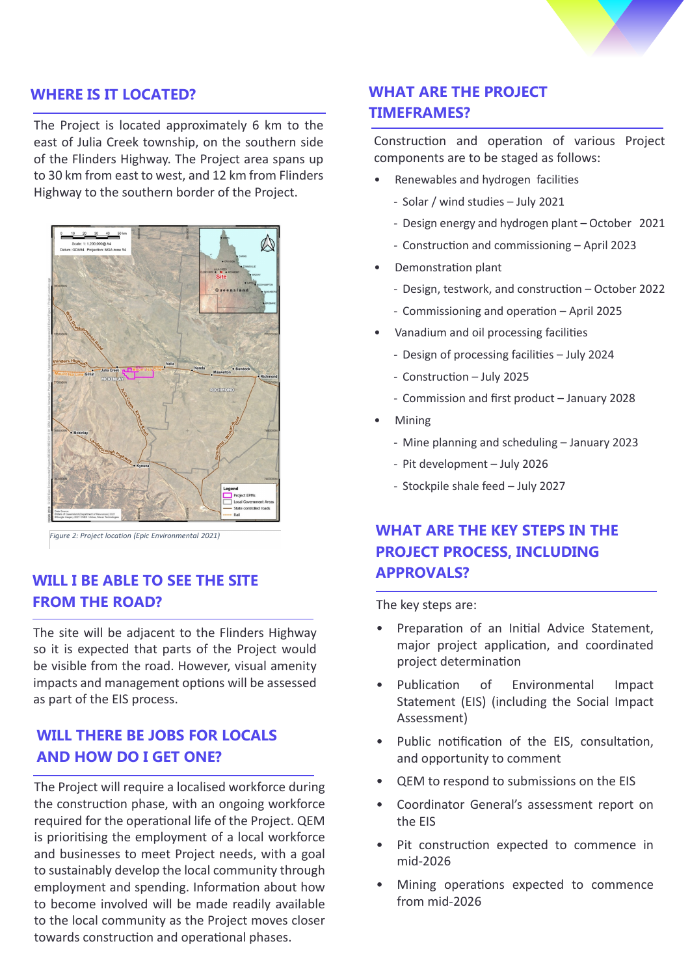

### **WHERE IS IT LOCATED?**

The Project is located approximately 6 km to the east of Julia Creek township, on the southern side of the Flinders Highway. The Project area spans up to 30 km from east to west, and 12 km from Flinders Highway to the southern border of the Project.



Figure 2: Project location (Epic Environmental 2021)

### **WILL I BE ABLE TO SEE THE SITE FROM THE ROAD?**

The site will be adjacent to the Flinders Highway so it is expected that parts of the Project would be visible from the road. However, visual amenity impacts and management options will be assessed as part of the EIS process.

### **WILL THERE BE JOBS FOR LOCALS AND HOW DO I GET ONE?**

The Project will require a localised workforce during the construction phase, with an ongoing workforce required for the operational life of the Project. QEM is prioritising the employment of a local workforce and businesses to meet Project needs, with a goal to sustainably develop the local community through employment and spending. Information about how to become involved will be made readily available to the local community as the Project moves closer towards construction and operational phases.

### **WHAT ARE THE PROJECT TIMEFRAMES?**

Construction and operation of various Project components are to be staged as follows:

- Renewables and hydrogen facilities
	- Solar / wind studies July 2021
	- Design energy and hydrogen plant October 2021
	- Construction and commissioning April 2023
- Demonstration plant
	- Design, testwork, and construction October 2022
	- Commissioning and operation April 2025
- Vanadium and oil processing facilities
	- Design of processing facilities July 2024
	- Construction July 2025
	- Commission and first product January 2028
- Mining
	- Mine planning and scheduling January 2023
	- Pit development July 2026
	- Stockpile shale feed July 2027

# **WHAT ARE THE KEY STEPS IN THE PROJECT PROCESS, INCLUDING APPROVALS?**

The key steps are:

- Preparation of an Initial Advice Statement, major project application, and coordinated project determination
- Publication of Environmental Impact Statement (EIS) (including the Social Impact Assessment)
- Public notification of the EIS, consultation, and opportunity to comment
- QEM to respond to submissions on the EIS
- Coordinator General's assessment report on the EIS
- Pit construction expected to commence in mid-2026
- Mining operations expected to commence from mid-2026